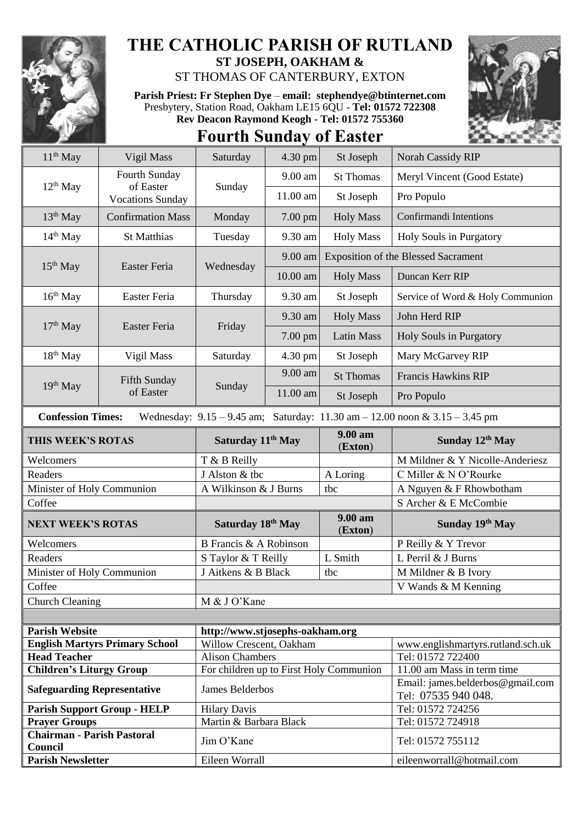

## **THE CATHOLIC PARISH OF RUTLAND ST JOSEPH, OAKHAM &**

ST THOMAS OF CANTERBURY, EXTON

**Parish Priest: Fr Stephen Dye** – **[email: stephendye@btinternet.com](mailto:email:%20%20stephendye@btinternet.com)** Presbytery, Station Road, Oakham LE15 6QU - **Tel: 01572 722308 Rev Deacon Raymond Keogh - Tel: 01572 755360**





| $11th$ May                                                                                                      | Vigil Mass                           | Saturday                                | 4.30 pm  | St Joseph          | Norah Cassidy RIP                                       |  |
|-----------------------------------------------------------------------------------------------------------------|--------------------------------------|-----------------------------------------|----------|--------------------|---------------------------------------------------------|--|
| $12th$ May                                                                                                      | Fourth Sunday                        | Sunday                                  | 9.00 am  | <b>St Thomas</b>   | Meryl Vincent (Good Estate)                             |  |
|                                                                                                                 | of Easter<br><b>Vocations Sunday</b> |                                         | 11.00 am | St Joseph          | Pro Populo                                              |  |
| $13th$ May                                                                                                      | <b>Confirmation Mass</b>             | Monday                                  | 7.00 pm  | <b>Holy Mass</b>   | Confirmandi Intentions                                  |  |
| $14th$ May                                                                                                      | St Matthias                          | Tuesday                                 | 9.30 am  | <b>Holy Mass</b>   | Holy Souls in Purgatory                                 |  |
| $15th$ May                                                                                                      | Easter Feria                         | Wednesday                               | 9.00 am  |                    | <b>Exposition of the Blessed Sacrament</b>              |  |
|                                                                                                                 |                                      |                                         | 10.00 am | <b>Holy Mass</b>   | Duncan Kerr RIP                                         |  |
| $16th$ May                                                                                                      | Easter Feria                         | Thursday                                | 9.30 am  | St Joseph          | Service of Word & Holy Communion                        |  |
| $17th$ May                                                                                                      | Easter Feria                         | Friday                                  | 9.30 am  | <b>Holy Mass</b>   | John Herd RIP                                           |  |
|                                                                                                                 |                                      |                                         | 7.00 pm  | <b>Latin Mass</b>  | Holy Souls in Purgatory                                 |  |
| 18 <sup>th</sup> May                                                                                            | Vigil Mass                           | Saturday                                | 4.30 pm  | St Joseph          | Mary McGarvey RIP                                       |  |
| 19th May                                                                                                        | Fifth Sunday<br>of Easter            | Sunday                                  | 9.00 am  | <b>St Thomas</b>   | <b>Francis Hawkins RIP</b>                              |  |
|                                                                                                                 |                                      |                                         | 11.00 am | St Joseph          | Pro Populo                                              |  |
| <b>Confession Times:</b><br>Wednesday: $9.15 - 9.45$ am; Saturday: $11.30$ am $- 12.00$ noon & $3.15 - 3.45$ pm |                                      |                                         |          |                    |                                                         |  |
| THIS WEEK'S ROTAS                                                                                               |                                      | Saturday 11 <sup>th</sup> May           |          | 9.00 am<br>(Exton) | Sunday 12th May                                         |  |
| Welcomers                                                                                                       |                                      | T & B Reilly                            |          |                    | M Mildner & Y Nicolle-Anderiesz                         |  |
| Readers                                                                                                         |                                      | J Alston & tbc                          |          | A Loring           | C Miller & N O'Rourke                                   |  |
| Minister of Holy Communion                                                                                      |                                      | A Wilkinson & J Burns                   |          | tbc                | A Nguyen & F Rhowbotham                                 |  |
| Coffee                                                                                                          |                                      |                                         |          |                    | S Archer & E McCombie                                   |  |
| <b>NEXT WEEK'S ROTAS</b>                                                                                        |                                      | Saturday 18th May                       |          | 9.00 am<br>(Exton) | Sunday 19th May                                         |  |
| Welcomers                                                                                                       |                                      | B Francis & A Robinson                  |          |                    | P Reilly & Y Trevor                                     |  |
| Readers                                                                                                         |                                      | S Taylor & T Reilly                     |          | L Smith            | L Perril & J Burns                                      |  |
| Minister of Holy Communion                                                                                      |                                      | J Aitkens & B Black                     |          | tbc                | M Mildner & B Ivory                                     |  |
| Coffee                                                                                                          |                                      |                                         |          |                    | V Wands & M Kenning                                     |  |
| <b>Church Cleaning</b>                                                                                          |                                      | M & J O'Kane                            |          |                    |                                                         |  |
|                                                                                                                 |                                      |                                         |          |                    |                                                         |  |
| <b>Parish Website</b>                                                                                           |                                      | http://www.stjosephs-oakham.org         |          |                    |                                                         |  |
| <b>English Martyrs Primary School</b>                                                                           |                                      | Willow Crescent, Oakham                 |          |                    | www.englishmartyrs.rutland.sch.uk                       |  |
| <b>Head Teacher</b>                                                                                             |                                      | <b>Alison Chambers</b>                  |          |                    | Tel: 01572 722400                                       |  |
| <b>Children's Liturgy Group</b>                                                                                 |                                      | For children up to First Holy Communion |          |                    | 11.00 am Mass in term time                              |  |
| <b>Safeguarding Representative</b>                                                                              |                                      | James Belderbos                         |          |                    | Email: james.belderbos@gmail.com<br>Tel: 07535 940 048. |  |
| <b>Parish Support Group - HELP</b>                                                                              |                                      | <b>Hilary Davis</b>                     |          |                    | Tel: 01572 724256                                       |  |
| <b>Prayer Groups</b>                                                                                            |                                      | Martin & Barbara Black                  |          |                    | Tel: 01572 724918                                       |  |
| <b>Chairman - Parish Pastoral</b><br>Council                                                                    |                                      | Jim O'Kane                              |          |                    | Tel: 01572 755112                                       |  |
| <b>Parish Newsletter</b>                                                                                        |                                      | Eileen Worrall                          |          |                    | eileenworrall@hotmail.com                               |  |